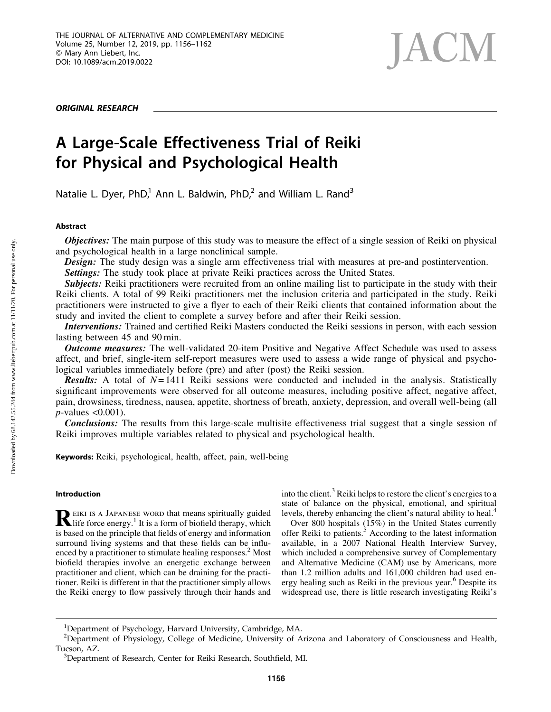ORIGINAL RESEARCH

# **JACM**

# A Large-Scale Effectiveness Trial of Reiki for Physical and Psychological Health

Natalie L. Dyer, PhD,<sup>1</sup> Ann L. Baldwin, PhD,<sup>2</sup> and William L. Rand<sup>3</sup>

# Abstract

**Objectives:** The main purpose of this study was to measure the effect of a single session of Reiki on physical and psychological health in a large nonclinical sample.

**Design:** The study design was a single arm effectiveness trial with measures at pre-and postintervention.

Settings: The study took place at private Reiki practices across the United States.

Subjects: Reiki practitioners were recruited from an online mailing list to participate in the study with their Reiki clients. A total of 99 Reiki practitioners met the inclusion criteria and participated in the study. Reiki practitioners were instructed to give a flyer to each of their Reiki clients that contained information about the study and invited the client to complete a survey before and after their Reiki session.

Interventions: Trained and certified Reiki Masters conducted the Reiki sessions in person, with each session lasting between 45 and 90 min.

**Outcome measures:** The well-validated 20-item Positive and Negative Affect Schedule was used to assess affect, and brief, single-item self-report measures were used to assess a wide range of physical and psychological variables immediately before (pre) and after (post) the Reiki session.

**Results:** A total of  $N=1411$  Reiki sessions were conducted and included in the analysis. Statistically significant improvements were observed for all outcome measures, including positive affect, negative affect, pain, drowsiness, tiredness, nausea, appetite, shortness of breath, anxiety, depression, and overall well-being (all *p*-values <0.001).

Conclusions: The results from this large-scale multisite effectiveness trial suggest that a single session of Reiki improves multiple variables related to physical and psychological health.

Keywords: Reiki, psychological, health, affect, pain, well-being

# Introduction

REIKI IS A JAPANESE WORD that means spiritually guided life force energy.<sup>1</sup> It is a form of biofield therapy, which is based on the principle that fields of energy and information surround living systems and that these fields can be influenced by a practitioner to stimulate healing responses.<sup>2</sup> Most biofield therapies involve an energetic exchange between practitioner and client, which can be draining for the practitioner. Reiki is different in that the practitioner simply allows the Reiki energy to flow passively through their hands and into the client.<sup>3</sup> Reiki helps to restore the client's energies to a state of balance on the physical, emotional, and spiritual levels, thereby enhancing the client's natural ability to heal.<sup>4</sup>

Over 800 hospitals (15%) in the United States currently offer Reiki to patients.<sup>5</sup> According to the latest information available, in a 2007 National Health Interview Survey, which included a comprehensive survey of Complementary and Alternative Medicine (CAM) use by Americans, more than 1.2 million adults and 161,000 children had used energy healing such as Reiki in the previous year.<sup>6</sup> Despite its widespread use, there is little research investigating Reiki's

<sup>&</sup>lt;sup>1</sup>Department of Psychology, Harvard University, Cambridge, MA.

<sup>&</sup>lt;sup>2</sup>Department of Physiology, College of Medicine, University of Arizona and Laboratory of Consciousness and Health, Tucson, AZ. <sup>3</sup>

<sup>&</sup>lt;sup>3</sup>Department of Research, Center for Reiki Research, Southfield, MI.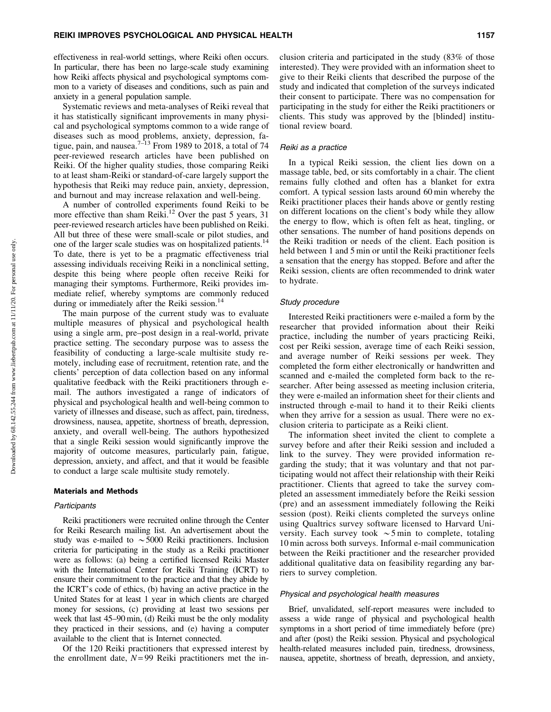effectiveness in real-world settings, where Reiki often occurs. In particular, there has been no large-scale study examining how Reiki affects physical and psychological symptoms common to a variety of diseases and conditions, such as pain and anxiety in a general population sample.

Systematic reviews and meta-analyses of Reiki reveal that it has statistically significant improvements in many physical and psychological symptoms common to a wide range of diseases such as mood problems, anxiety, depression, fatigue, pain, and nausea.<sup>7-13</sup> From 1989 to 2018, a total of 74 peer-reviewed research articles have been published on Reiki. Of the higher quality studies, those comparing Reiki to at least sham-Reiki or standard-of-care largely support the hypothesis that Reiki may reduce pain, anxiety, depression, and burnout and may increase relaxation and well-being.

A number of controlled experiments found Reiki to be more effective than sham Reiki.<sup>12</sup> Over the past 5 years, 31 peer-reviewed research articles have been published on Reiki. All but three of these were small-scale or pilot studies, and one of the larger scale studies was on hospitalized patients.<sup>14</sup> To date, there is yet to be a pragmatic effectiveness trial assessing individuals receiving Reiki in a nonclinical setting, despite this being where people often receive Reiki for managing their symptoms. Furthermore, Reiki provides immediate relief, whereby symptoms are commonly reduced during or immediately after the Reiki session.<sup>14</sup>

The main purpose of the current study was to evaluate multiple measures of physical and psychological health using a single arm, pre–post design in a real-world, private practice setting. The secondary purpose was to assess the feasibility of conducting a large-scale multisite study remotely, including ease of recruitment, retention rate, and the clients' perception of data collection based on any informal qualitative feedback with the Reiki practitioners through email. The authors investigated a range of indicators of physical and psychological health and well-being common to variety of illnesses and disease, such as affect, pain, tiredness, drowsiness, nausea, appetite, shortness of breath, depression, anxiety, and overall well-being. The authors hypothesized that a single Reiki session would significantly improve the majority of outcome measures, particularly pain, fatigue, depression, anxiety, and affect, and that it would be feasible to conduct a large scale multisite study remotely.

#### Materials and Methods

#### **Participants**

Reiki practitioners were recruited online through the Center for Reiki Research mailing list. An advertisement about the study was e-mailed to  $\sim$  5000 Reiki practitioners. Inclusion criteria for participating in the study as a Reiki practitioner were as follows: (a) being a certified licensed Reiki Master with the International Center for Reiki Training (ICRT) to ensure their commitment to the practice and that they abide by the ICRT's code of ethics, (b) having an active practice in the United States for at least 1 year in which clients are charged money for sessions, (c) providing at least two sessions per week that last 45–90 min, (d) Reiki must be the only modality they practiced in their sessions, and (e) having a computer available to the client that is Internet connected.

Of the 120 Reiki practitioners that expressed interest by the enrollment date,  $N=99$  Reiki practitioners met the inclusion criteria and participated in the study (83% of those interested). They were provided with an information sheet to give to their Reiki clients that described the purpose of the study and indicated that completion of the surveys indicated their consent to participate. There was no compensation for participating in the study for either the Reiki practitioners or clients. This study was approved by the [blinded] institutional review board.

#### Reiki as a practice

In a typical Reiki session, the client lies down on a massage table, bed, or sits comfortably in a chair. The client remains fully clothed and often has a blanket for extra comfort. A typical session lasts around 60 min whereby the Reiki practitioner places their hands above or gently resting on different locations on the client's body while they allow the energy to flow, which is often felt as heat, tingling, or other sensations. The number of hand positions depends on the Reiki tradition or needs of the client. Each position is held between 1 and 5 min or until the Reiki practitioner feels a sensation that the energy has stopped. Before and after the Reiki session, clients are often recommended to drink water to hydrate.

## Study procedure

Interested Reiki practitioners were e-mailed a form by the researcher that provided information about their Reiki practice, including the number of years practicing Reiki, cost per Reiki session, average time of each Reiki session, and average number of Reiki sessions per week. They completed the form either electronically or handwritten and scanned and e-mailed the completed form back to the researcher. After being assessed as meeting inclusion criteria, they were e-mailed an information sheet for their clients and instructed through e-mail to hand it to their Reiki clients when they arrive for a session as usual. There were no exclusion criteria to participate as a Reiki client.

The information sheet invited the client to complete a survey before and after their Reiki session and included a link to the survey. They were provided information regarding the study; that it was voluntary and that not participating would not affect their relationship with their Reiki practitioner. Clients that agreed to take the survey completed an assessment immediately before the Reiki session (pre) and an assessment immediately following the Reiki session (post). Reiki clients completed the surveys online using Qualtrics survey software licensed to Harvard University. Each survey took  $\sim$  5 min to complete, totaling 10 min across both surveys. Informal e-mail communication between the Reiki practitioner and the researcher provided additional qualitative data on feasibility regarding any barriers to survey completion.

#### Physical and psychological health measures

Brief, unvalidated, self-report measures were included to assess a wide range of physical and psychological health symptoms in a short period of time immediately before (pre) and after (post) the Reiki session. Physical and psychological health-related measures included pain, tiredness, drowsiness, nausea, appetite, shortness of breath, depression, and anxiety,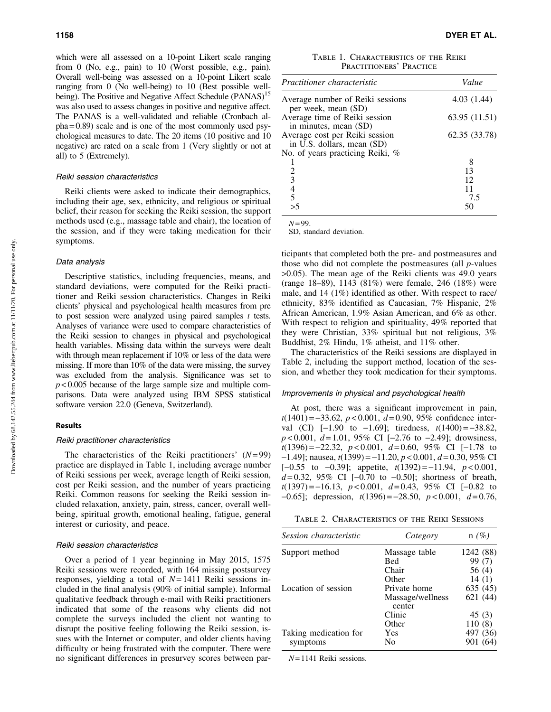which were all assessed on a 10-point Likert scale ranging from 0 (No, e.g., pain) to 10 (Worst possible, e.g., pain). Overall well-being was assessed on a 10-point Likert scale ranging from 0 (No well-being) to 10 (Best possible wellbeing). The Positive and Negative Affect Schedule (PANAS)<sup>15</sup> was also used to assess changes in positive and negative affect. The PANAS is a well-validated and reliable (Cronbach al $pha = 0.89$  scale and is one of the most commonly used psychological measures to date. The 20 items (10 positive and 10 negative) are rated on a scale from 1 (Very slightly or not at all) to 5 (Extremely).

#### Reiki session characteristics

Reiki clients were asked to indicate their demographics, including their age, sex, ethnicity, and religious or spiritual belief, their reason for seeking the Reiki session, the support methods used (e.g., massage table and chair), the location of the session, and if they were taking medication for their symptoms.

## Data analysis

Descriptive statistics, including frequencies, means, and standard deviations, were computed for the Reiki practitioner and Reiki session characteristics. Changes in Reiki clients' physical and psychological health measures from pre to post session were analyzed using paired samples *t* tests. Analyses of variance were used to compare characteristics of the Reiki session to changes in physical and psychological health variables. Missing data within the surveys were dealt with through mean replacement if 10% or less of the data were missing. If more than 10% of the data were missing, the survey was excluded from the analysis. Significance was set to  $p$  < 0.005 because of the large sample size and multiple comparisons. Data were analyzed using IBM SPSS statistical software version 22.0 (Geneva, Switzerland).

# Results

#### Reiki practitioner characteristics

The characteristics of the Reiki practitioners' (*N*= 99) practice are displayed in Table 1, including average number of Reiki sessions per week, average length of Reiki session, cost per Reiki session, and the number of years practicing Reiki. Common reasons for seeking the Reiki session included relaxation, anxiety, pain, stress, cancer, overall wellbeing, spiritual growth, emotional healing, fatigue, general interest or curiosity, and peace.

#### Reiki session characteristics

Over a period of 1 year beginning in May 2015, 1575 Reiki sessions were recorded, with 164 missing postsurvey responses, yielding a total of *N* = 1411 Reiki sessions included in the final analysis (90% of initial sample). Informal qualitative feedback through e-mail with Reiki practitioners indicated that some of the reasons why clients did not complete the surveys included the client not wanting to disrupt the positive feeling following the Reiki session, issues with the Internet or computer, and older clients having difficulty or being frustrated with the computer. There were no significant differences in presurvey scores between par-

Table 1. Characteristics of the Reiki PRACTITIONERS' PRACTICE

| Practitioner characteristic                                  | Value         |  |  |
|--------------------------------------------------------------|---------------|--|--|
| Average number of Reiki sessions<br>per week, mean (SD)      | 4.03(1.44)    |  |  |
| Average time of Reiki session<br>in minutes, mean (SD)       | 63.95 (11.51) |  |  |
| Average cost per Reiki session<br>in U.S. dollars, mean (SD) | 62.35 (33.78) |  |  |
| No. of years practicing Reiki, %                             |               |  |  |
|                                                              | 8             |  |  |
|                                                              | 13            |  |  |
| $\frac{2}{3}$                                                | 12            |  |  |
| $\begin{array}{c} 4 \\ 5 \\ >5 \end{array}$                  | 11            |  |  |
|                                                              | 7.5           |  |  |
|                                                              | 50            |  |  |

 $N = 99$ .

SD, standard deviation.

ticipants that completed both the pre- and postmeasures and those who did not complete the postmeasures (all *p*-values >0.05). The mean age of the Reiki clients was 49.0 years (range 18–89), 1143 (81%) were female, 246 (18%) were male, and 14 (1%) identified as other. With respect to race/ ethnicity, 83% identified as Caucasian, 7% Hispanic, 2% African American, 1.9% Asian American, and 6% as other. With respect to religion and spirituality, 49% reported that they were Christian, 33% spiritual but not religious, 3% Buddhist, 2% Hindu, 1% atheist, and 11% other.

The characteristics of the Reiki sessions are displayed in Table 2, including the support method, location of the session, and whether they took medication for their symptoms.

#### Improvements in physical and psychological health

At post, there was a significant improvement in pain, *t*(1401) = -33.62, *p* < 0.001, *d* = 0.90, 95% confidence interval (CI)  $[-1.90 \text{ to } -1.69]$ ; tiredness,  $t(1400) = -38.82$ , *p* < 0.001, *d* = 1.01, 95% CI [-2.76 to -2.49]; drowsiness, *t*(1396) = -22.32, *p* < 0.001, *d* = 0.60, 95% CI [-1.78 to -1.49]; nausea, *t*(1399) = -11.20, *p* < 0.001, *d* = 0.30, 95% CI  $[-0.55 \text{ to } -0.39]$ ; appetite,  $t(1392) = -11.94$ ,  $p < 0.001$ ,  $d = 0.32$ , 95% CI  $[-0.70 \text{ to } -0.50]$ ; shortness of breath, *t*(1397) = -16.13, *p* < 0.001, *d* = 0.43, 95% CI [-0.82 to -0.65]; depression, *t*(1396) = -28.50, *p* < 0.001, *d* = 0.76,

Table 2. Characteristics of the Reiki Sessions

| Session characteristic | Category                   | $n(\%)$   |
|------------------------|----------------------------|-----------|
| Support method         | Massage table              | 1242 (88) |
|                        | Bed                        | 99 (7)    |
|                        | Chair                      | 56 (4)    |
|                        | Other                      | 14(1)     |
| Location of session    | Private home               | 635 (45)  |
|                        | Massage/wellness<br>center | 621 (44)  |
|                        | Clinic                     | 45(3)     |
|                        | Other                      | 110(8)    |
| Taking medication for  | Yes                        | 497 (36)  |
| symptoms               | No                         | 901 (64)  |

*N* = 1141 Reiki sessions.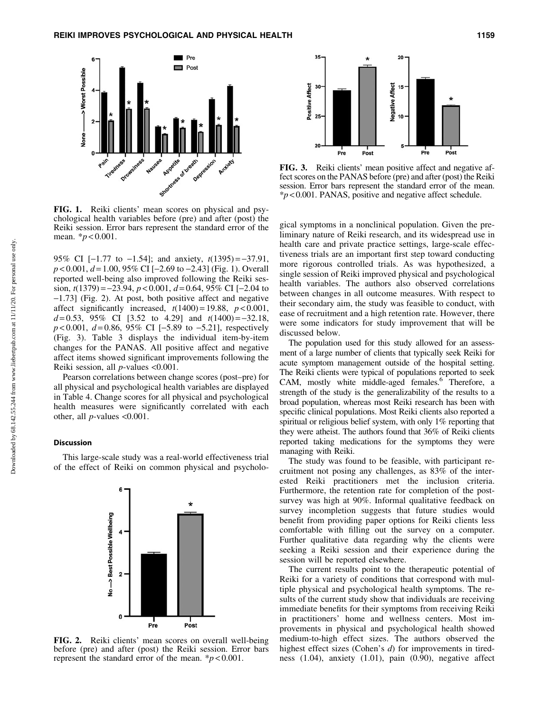

FIG. 1. Reiki clients' mean scores on physical and psychological health variables before (pre) and after (post) the Reiki session. Error bars represent the standard error of the mean. \**p* < 0.001.

95% CI [-1.77 to -1.54]; and anxiety, *t*(1395) = -37.91, *p* < 0.001, *d* = 1.00, 95% CI [-2.69 to -2.43] (Fig. 1). Overall reported well-being also improved following the Reiki session, *t*(1379) = -23.94, *p* < 0.001, *d* = 0.64, 95% CI [-2.04 to -1.73] (Fig. 2). At post, both positive affect and negative affect significantly increased,  $t(1400) = 19.88$ ,  $p < 0.001$ ,  $d=0.53$ , 95% CI [3.52 to 4.29] and  $t(1400) = -32.18$ , *p* < 0.001, *d* = 0.86, 95% CI [-5.89 to -5.21], respectively (Fig. 3). Table 3 displays the individual item-by-item changes for the PANAS. All positive affect and negative affect items showed significant improvements following the Reiki session, all *p*-values <0.001.

Pearson correlations between change scores (post–pre) for all physical and psychological health variables are displayed in Table 4. Change scores for all physical and psychological health measures were significantly correlated with each other, all  $p$ -values  $<0.001$ .

#### **Discussion**

This large-scale study was a real-world effectiveness trial of the effect of Reiki on common physical and psycholo-



FIG. 2. Reiki clients' mean scores on overall well-being before (pre) and after (post) the Reiki session. Error bars represent the standard error of the mean.  $\frac{k}{p}$  < 0.001.



FIG. 3. Reiki clients' mean positive affect and negative affect scores on the PANAS before (pre) and after (post) the Reiki session. Error bars represent the standard error of the mean. \**p* < 0.001. PANAS, positive and negative affect schedule.

gical symptoms in a nonclinical population. Given the preliminary nature of Reiki research, and its widespread use in health care and private practice settings, large-scale effectiveness trials are an important first step toward conducting more rigorous controlled trials. As was hypothesized, a single session of Reiki improved physical and psychological health variables. The authors also observed correlations between changes in all outcome measures. With respect to their secondary aim, the study was feasible to conduct, with ease of recruitment and a high retention rate. However, there were some indicators for study improvement that will be discussed below.

The population used for this study allowed for an assessment of a large number of clients that typically seek Reiki for acute symptom management outside of the hospital setting. The Reiki clients were typical of populations reported to seek CAM, mostly white middle-aged females.<sup>6</sup> Therefore, a strength of the study is the generalizability of the results to a broad population, whereas most Reiki research has been with specific clinical populations. Most Reiki clients also reported a spiritual or religious belief system, with only 1% reporting that they were atheist. The authors found that 36% of Reiki clients reported taking medications for the symptoms they were managing with Reiki.

The study was found to be feasible, with participant recruitment not posing any challenges, as 83% of the interested Reiki practitioners met the inclusion criteria. Furthermore, the retention rate for completion of the postsurvey was high at 90%. Informal qualitative feedback on survey incompletion suggests that future studies would benefit from providing paper options for Reiki clients less comfortable with filling out the survey on a computer. Further qualitative data regarding why the clients were seeking a Reiki session and their experience during the session will be reported elsewhere.

The current results point to the therapeutic potential of Reiki for a variety of conditions that correspond with multiple physical and psychological health symptoms. The results of the current study show that individuals are receiving immediate benefits for their symptoms from receiving Reiki in practitioners' home and wellness centers. Most improvements in physical and psychological health showed medium-to-high effect sizes. The authors observed the highest effect sizes (Cohen's *d*) for improvements in tiredness (1.04), anxiety (1.01), pain (0.90), negative affect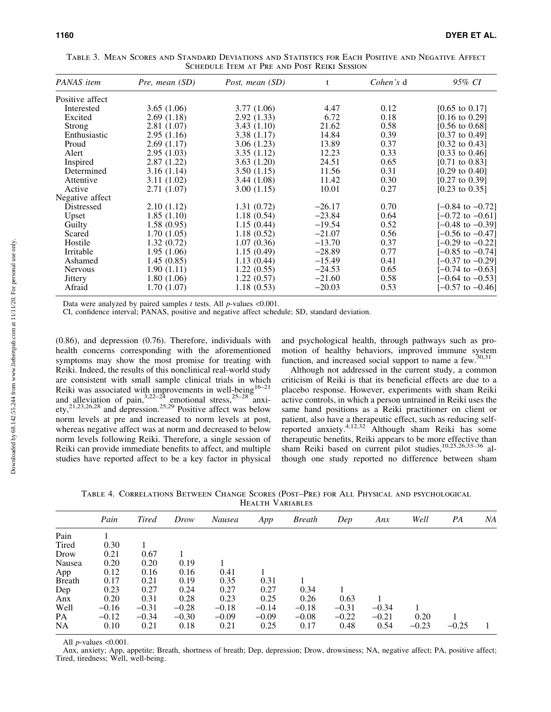| PANAS item      | Pre, mean (SD) | Post, mean (SD) | t        | Cohen's d | 95% CI                      |
|-----------------|----------------|-----------------|----------|-----------|-----------------------------|
| Positive affect |                |                 |          |           |                             |
| Interested      | 3.65(1.06)     | 3.77(1.06)      | 4.47     | 0.12      | [0.65 to 0.17]              |
| Excited         | 2.69(1.18)     | 2.92(1.33)      | 6.72     | 0.18      | [0.16 to 0.29]              |
| Strong          | 2.81(1.07)     | 3.43(1.10)      | 21.62    | 0.58      | [0.56 to 0.68]              |
| Enthusiastic    | 2.95(1.16)     | 3.38(1.17)      | 14.84    | 0.39      | $[0.37 \text{ to } 0.49]$   |
| Proud           | 2.69(1.17)     | 3.06(1.23)      | 13.89    | 0.37      | $[0.32 \text{ to } 0.43]$   |
| Alert           | 2.95(1.03)     | 3.35(1.12)      | 12.23    | 0.33      | [0.33 to 0.46]              |
| Inspired        | 2.87(1.22)     | 3.63(1.20)      | 24.51    | 0.65      | $[0.71 \text{ to } 0.83]$   |
| Determined      | 3.16(1.14)     | 3.50(1.15)      | 11.56    | 0.31      | $[0.29 \text{ to } 0.40]$   |
| Attentive       | 3.11(1.02)     | 3.44(1.08)      | 11.42    | 0.30      | $[0.27 \text{ to } 0.39]$   |
| Active          | 2.71(1.07)     | 3.00(1.15)      | 10.01    | 0.27      | [0.23 to 0.35]              |
| Negative affect |                |                 |          |           |                             |
| Distressed      | 2.10(1.12)     | 1.31(0.72)      | $-26.17$ | 0.70      | $[-0.84 \text{ to } -0.72]$ |
| Upset           | 1.85(1.10)     | 1.18(0.54)      | $-23.84$ | 0.64      | $[-0.72 \text{ to } -0.61]$ |
| Guilty          | 1.58(0.95)     | 1.15(0.44)      | $-19.54$ | 0.52      | [-0.48 to -0.39]            |
| Scared          | 1.70(1.05)     | 1.18(0.52)      | $-21.07$ | 0.56      | [−0.56 to −0.47]            |
| Hostile         | 1.32(0.72)     | 1.07(0.36)      | $-13.70$ | 0.37      | $[-0.29 \text{ to } -0.22]$ |
| Irritable       | 1.95(1.06)     | 1.15(0.49)      | $-28.89$ | 0.77      | $[-0.85 \text{ to } -0.74]$ |
| Ashamed         | 1.45(0.85)     | 1.13(0.44)      | $-15.49$ | 0.41      | $[-0.37 \text{ to } -0.29]$ |
| <b>Nervous</b>  | 1.90(1.11)     | 1.22(0.55)      | $-24.53$ | 0.65      | $[-0.74 \text{ to } -0.63]$ |
| Jittery         | 1.80(1.06)     | 1.22(0.57)      | $-21.60$ | 0.58      | $[-0.64 \text{ to } -0.53]$ |
| Afraid          | 1.70(1.07)     | 1.18(0.53)      | $-20.03$ | 0.53      | $[-0.57 \text{ to } -0.46]$ |

Table 3. Mean Scores and Standard Deviations and Statistics for Each Positive and Negative Affect Schedule Item at Pre and Post Reiki Session

Data were analyzed by paired samples *t* tests. All *p*-values <0.001.

CI, confidence interval; PANAS, positive and negative affect schedule; SD, standard deviation.

(0.86), and depression (0.76). Therefore, individuals with health concerns corresponding with the aforementioned symptoms may show the most promise for treating with Reiki. Indeed, the results of this nonclinical real-world study are consistent with small sample clinical trials in which Reiki was associated with improvements in well-being<sup>16-21</sup> and alleviation of pain,  $3,22-24$  emotional stress,  $25-28$  anxiety,<sup>21,23,26,28</sup> and depression.<sup>25,29</sup> Positive affect was below norm levels at pre and increased to norm levels at post, whereas negative affect was at norm and decreased to below norm levels following Reiki. Therefore, a single session of Reiki can provide immediate benefits to affect, and multiple studies have reported affect to be a key factor in physical and psychological health, through pathways such as promotion of healthy behaviors, improved immune system function, and increased social support to name a few.<sup>30,31</sup>

Although not addressed in the current study, a common criticism of Reiki is that its beneficial effects are due to a placebo response. However, experiments with sham Reiki active controls, in which a person untrained in Reiki uses the same hand positions as a Reiki practitioner on client or patient, also have a therapeutic effect, such as reducing selfreported anxiety.<sup>4,12,32</sup> Although sham Reiki has some therapeutic benefits, Reiki appears to be more effective than sham Reiki based on current pilot studies,10,25,26,33–36 although one study reported no difference between sham

Table 4. Correlations Between Change Scores (Post–Pre) for All Physical and psychological Health Variables

| Pain    | <b>Tired</b> | Drow    | Nausea  | App     | <b>Breath</b> | Dep     | Ans.    | Well    | PA      | NA |
|---------|--------------|---------|---------|---------|---------------|---------|---------|---------|---------|----|
|         |              |         |         |         |               |         |         |         |         |    |
| 0.30    |              |         |         |         |               |         |         |         |         |    |
| 0.21    | 0.67         |         |         |         |               |         |         |         |         |    |
| 0.20    | 0.20         | 0.19    |         |         |               |         |         |         |         |    |
| 0.12    | 0.16         | 0.16    | 0.41    |         |               |         |         |         |         |    |
| 0.17    | 0.21         | 0.19    | 0.35    | 0.31    |               |         |         |         |         |    |
| 0.23    | 0.27         | 0.24    | 0.27    | 0.27    | 0.34          |         |         |         |         |    |
| 0.20    | 0.31         | 0.28    | 0.23    | 0.25    | 0.26          | 0.63    |         |         |         |    |
| $-0.16$ | $-0.31$      | $-0.28$ | $-0.18$ | $-0.14$ | $-0.18$       | $-0.31$ | $-0.34$ |         |         |    |
| $-0.12$ | $-0.34$      | $-0.30$ | $-0.09$ | $-0.09$ | $-0.08$       | $-0.22$ | $-0.21$ | 0.20    |         |    |
| 0.10    | 0.21         | 0.18    | 0.21    | 0.25    | 0.17          | 0.48    | 0.54    | $-0.23$ | $-0.25$ |    |
|         |              |         |         |         |               |         |         |         |         |    |

All *p*-values <0.001.

Anx, anxiety; App, appetite; Breath, shortness of breath; Dep, depression; Drow, drowsiness; NA, negative affect; PA, positive affect; Tired, tiredness; Well, well-being.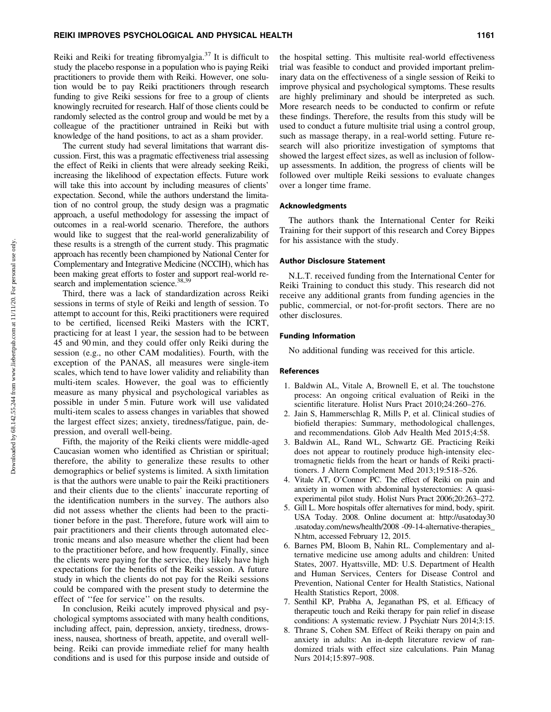Reiki and Reiki for treating fibromyalgia.<sup>37</sup> It is difficult to study the placebo response in a population who is paying Reiki practitioners to provide them with Reiki. However, one solution would be to pay Reiki practitioners through research funding to give Reiki sessions for free to a group of clients knowingly recruited for research. Half of those clients could be randomly selected as the control group and would be met by a colleague of the practitioner untrained in Reiki but with knowledge of the hand positions, to act as a sham provider.

The current study had several limitations that warrant discussion. First, this was a pragmatic effectiveness trial assessing the effect of Reiki in clients that were already seeking Reiki, increasing the likelihood of expectation effects. Future work will take this into account by including measures of clients' expectation. Second, while the authors understand the limitation of no control group, the study design was a pragmatic approach, a useful methodology for assessing the impact of outcomes in a real-world scenario. Therefore, the authors would like to suggest that the real-world generalizability of these results is a strength of the current study. This pragmatic approach has recently been championed by National Center for Complementary and Integrative Medicine (NCCIH), which has been making great efforts to foster and support real-world research and implementation science.<sup>38,39</sup>

Third, there was a lack of standardization across Reiki sessions in terms of style of Reiki and length of session. To attempt to account for this, Reiki practitioners were required to be certified, licensed Reiki Masters with the ICRT, practicing for at least 1 year, the session had to be between 45 and 90 min, and they could offer only Reiki during the session (e.g., no other CAM modalities). Fourth, with the exception of the PANAS, all measures were single-item scales, which tend to have lower validity and reliability than multi-item scales. However, the goal was to efficiently measure as many physical and psychological variables as possible in under 5 min. Future work will use validated multi-item scales to assess changes in variables that showed the largest effect sizes; anxiety, tiredness/fatigue, pain, depression, and overall well-being.

Fifth, the majority of the Reiki clients were middle-aged Caucasian women who identified as Christian or spiritual; therefore, the ability to generalize these results to other demographics or belief systems is limited. A sixth limitation is that the authors were unable to pair the Reiki practitioners and their clients due to the clients' inaccurate reporting of the identification numbers in the survey. The authors also did not assess whether the clients had been to the practitioner before in the past. Therefore, future work will aim to pair practitioners and their clients through automated electronic means and also measure whether the client had been to the practitioner before, and how frequently. Finally, since the clients were paying for the service, they likely have high expectations for the benefits of the Reiki session. A future study in which the clients do not pay for the Reiki sessions could be compared with the present study to determine the effect of ''fee for service'' on the results.

In conclusion, Reiki acutely improved physical and psychological symptoms associated with many health conditions, including affect, pain, depression, anxiety, tiredness, drowsiness, nausea, shortness of breath, appetite, and overall wellbeing. Reiki can provide immediate relief for many health conditions and is used for this purpose inside and outside of the hospital setting. This multisite real-world effectiveness trial was feasible to conduct and provided important preliminary data on the effectiveness of a single session of Reiki to improve physical and psychological symptoms. These results are highly preliminary and should be interpreted as such. More research needs to be conducted to confirm or refute these findings. Therefore, the results from this study will be used to conduct a future multisite trial using a control group, such as massage therapy, in a real-world setting. Future research will also prioritize investigation of symptoms that showed the largest effect sizes, as well as inclusion of followup assessments. In addition, the progress of clients will be followed over multiple Reiki sessions to evaluate changes over a longer time frame.

## Acknowledgments

The authors thank the International Center for Reiki Training for their support of this research and Corey Bippes for his assistance with the study.

#### Author Disclosure Statement

N.L.T. received funding from the International Center for Reiki Training to conduct this study. This research did not receive any additional grants from funding agencies in the public, commercial, or not-for-profit sectors. There are no other disclosures.

#### Funding Information

No additional funding was received for this article.

#### References

- 1. Baldwin AL, Vitale A, Brownell E, et al. The touchstone process: An ongoing critical evaluation of Reiki in the scientific literature. Holist Nurs Pract 2010;24:260–276.
- 2. Jain S, Hammerschlag R, Mills P, et al. Clinical studies of biofield therapies: Summary, methodological challenges, and recommendations. Glob Adv Health Med 2015;4:58.
- 3. Baldwin AL, Rand WL, Schwartz GE. Practicing Reiki does not appear to routinely produce high-intensity electromagnetic fields from the heart or hands of Reiki practitioners. J Altern Complement Med 2013;19:518–526.
- 4. Vitale AT, O'Connor PC. The effect of Reiki on pain and anxiety in women with abdominal hysterectomies: A quasiexperimental pilot study. Holist Nurs Pract 2006;20:263–272.
- 5. Gill L. More hospitals offer alternatives for mind, body, spirit. USA Today. 2008. Online document at: [http://usatoday30](http://usatoday30.usatoday.com/news/health/2008) [.usatoday.com/news/health/2008](http://usatoday30.usatoday.com/news/health/2008) -09-14-alternative-therapies\_ N.htm, accessed February 12, 2015.
- 6. Barnes PM, Bloom B, Nahin RL. Complementary and alternative medicine use among adults and children: United States, 2007. Hyattsville, MD: U.S. Department of Health and Human Services, Centers for Disease Control and Prevention, National Center for Health Statistics, National Health Statistics Report, 2008.
- 7. Senthil KP, Prabha A, Jeganathan PS, et al. Efficacy of therapeutic touch and Reiki therapy for pain relief in disease conditions: A systematic review. J Psychiatr Nurs 2014;3:15.
- 8. Thrane S, Cohen SM. Effect of Reiki therapy on pain and anxiety in adults: An in-depth literature review of randomized trials with effect size calculations. Pain Manag Nurs 2014;15:897–908.